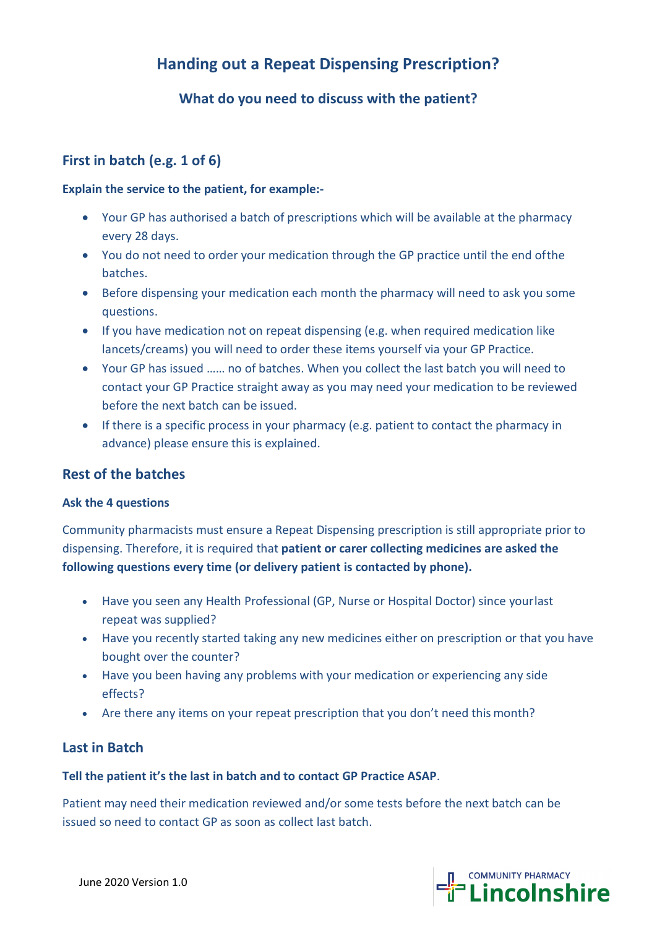# **Handing out a Repeat Dispensing Prescription?**

# **What do you need to discuss with the patient?**

# **First in batch (e.g. 1 of 6)**

#### **Explain the service to the patient, for example:-**

- Your GP has authorised a batch of prescriptions which will be available at the pharmacy every 28 days.
- You do not need to order your medication through the GP practice until the end ofthe batches.
- Before dispensing your medication each month the pharmacy will need to ask you some questions.
- If you have medication not on repeat dispensing (e.g. when required medication like lancets/creams) you will need to order these items yourself via your GP Practice.
- Your GP has issued …… no of batches. When you collect the last batch you will need to contact your GP Practice straight away as you may need your medication to be reviewed before the next batch can be issued.
- If there is a specific process in your pharmacy (e.g. patient to contact the pharmacy in advance) please ensure this is explained.

### **Rest of the batches**

#### **Ask the 4 questions**

Community pharmacists must ensure a Repeat Dispensing prescription is still appropriate prior to dispensing. Therefore, it is required that **patient or carer collecting medicines are asked the following questions every time (or delivery patient is contacted by phone).**

- Have you seen any Health Professional (GP, Nurse or Hospital Doctor) since yourlast repeat was supplied?
- Have you recently started taking any new medicines either on prescription or that you have bought over the counter?
- Have you been having any problems with your medication or experiencing any side effects?
- Are there any items on your repeat prescription that you don't need this month?

### **Last in Batch**

#### **Tell the patient it's the last in batch and to contact GP Practice ASAP**.

Patient may need their medication reviewed and/or some tests before the next batch can be issued so need to contact GP as soon as collect last batch.